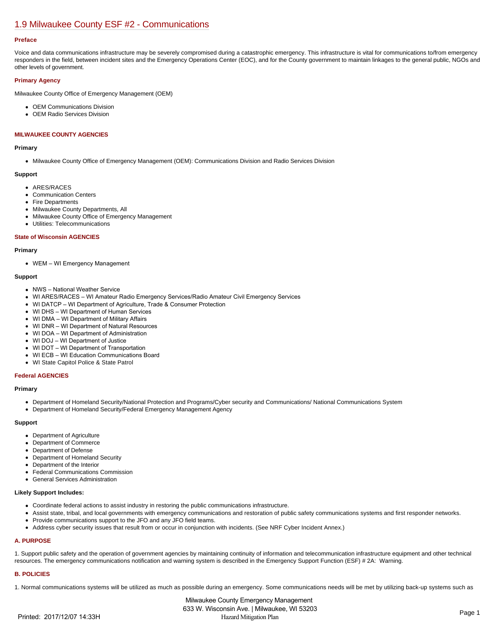# [1.9 Milwaukee County ESF #2 - Communications](https://milwaukeecounty.isc-cemp.com/Cemp/Details?id=5805888)

#### **Preface**

Voice and data communications infrastructure may be severely compromised during a catastrophic emergency. This infrastructure is vital for communications to/from emergency responders in the field, between incident sites and the Emergency Operations Center (EOC), and for the County government to maintain linkages to the general public, NGOs and other levels of government.

#### **Primary Agency**

Milwaukee County Office of Emergency Management (OEM)

- OEM Communications Division
- OEM Radio Services Division

### **MILWAUKEE COUNTY AGENCIES**

#### **Primary**

Milwaukee County Office of Emergency Management (OEM): Communications Division and Radio Services Division

#### **Support**

- ARES/RACES
- Communication Centers
- Fire Departments
- Milwaukee County Departments, All
- Milwaukee County Office of Emergency Management
- Utilities: Telecommunications

#### **State of Wisconsin AGENCIES**

#### **Primary**

WEM – WI Emergency Management

#### **Support**

- NWS National Weather Service
- WI ARES/RACES WI Amateur Radio Emergency Services/Radio Amateur Civil Emergency Services
- WI DATCP WI Department of Agriculture, Trade & Consumer Protection
- WI DHS WI Department of Human Services
- WI DMA WI Department of Military Affairs
- WI DNR WI Department of Natural Resources
- WI DOA WI Department of Administration
- WI DOJ WI Department of Justice
- WI DOT WI Department of Transportation
- WI ECB WI Education Communications Board
- WI State Capitol Police & State Patrol

#### **Federal AGENCIES**

#### **Primary**

- Department of Homeland Security/National Protection and Programs/Cyber security and Communications/ National Communications System
- Department of Homeland Security/Federal Emergency Management Agency

#### **Support**

- Department of Agriculture
- Department of Commerce
- Department of Defense
- Department of Homeland Security
- Department of the Interior
- Federal Communications Commission
- General Services Administration

#### **Likely Support Includes:**

- Coordinate federal actions to assist industry in restoring the public communications infrastructure.
- Assist state, tribal, and local governments with emergency communications and restoration of public safety communications systems and first responder networks.
- Provide communications support to the JFO and any JFO field teams.
- Address cyber security issues that result from or occur in conjunction with incidents. (See NRF Cyber Incident Annex.)

#### **A. PURPOSE**

1. Support public safety and the operation of government agencies by maintaining continuity of information and telecommunication infrastructure equipment and other technical resources. The emergency communications notification and warning system is described in the Emergency Support Function (ESF) # 2A: Warning.

#### **B. POLICIES**

1. Normal communications systems will be utilized as much as possible during an emergency. Some communications needs will be met by utilizing back-up systems such as

Milwaukee County Emergency Management 633 W. Wisconsin Ave. | Milwaukee, WI 53203 Printed: 2017/12/07 14:33H Hazard Mitigation Plan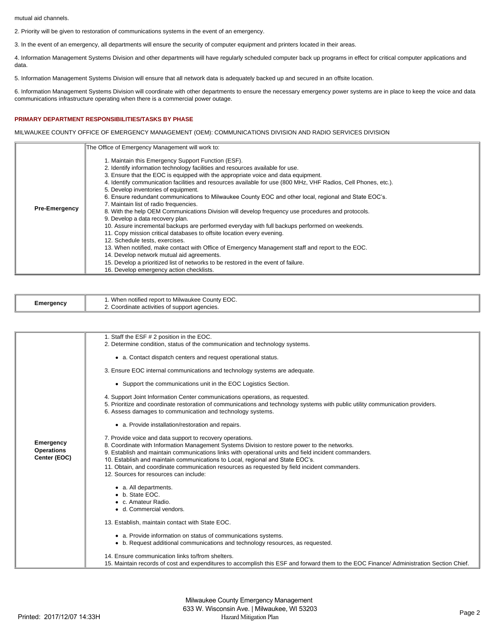mutual aid channels.

2. Priority will be given to restoration of communications systems in the event of an emergency.

3. In the event of an emergency, all departments will ensure the security of computer equipment and printers located in their areas.

4. Information Management Systems Division and other departments will have regularly scheduled computer back up programs in effect for critical computer applications and data.

5. Information Management Systems Division will ensure that all network data is adequately backed up and secured in an offsite location.

6. Information Management Systems Division will coordinate with other departments to ensure the necessary emergency power systems are in place to keep the voice and data communications infrastructure operating when there is a commercial power outage.

## **PRIMARY DEPARTMENT RESPONSIBILITIES/TASKS BY PHASE**

MILWAUKEE COUNTY OFFICE OF EMERGENCY MANAGEMENT (OEM): COMMUNICATIONS DIVISION AND RADIO SERVICES DIVISION

|                      | The Office of Emergency Management will work to:                                                                                                                                                                                                                                                                                                                                                                                                                                                                                                                                                                                                                                                                                                                                                                                                                                                                                                                                                                                                                                                                                                                                  |
|----------------------|-----------------------------------------------------------------------------------------------------------------------------------------------------------------------------------------------------------------------------------------------------------------------------------------------------------------------------------------------------------------------------------------------------------------------------------------------------------------------------------------------------------------------------------------------------------------------------------------------------------------------------------------------------------------------------------------------------------------------------------------------------------------------------------------------------------------------------------------------------------------------------------------------------------------------------------------------------------------------------------------------------------------------------------------------------------------------------------------------------------------------------------------------------------------------------------|
| <b>Pre-Emergency</b> | 1. Maintain this Emergency Support Function (ESF).<br>2. Identify information technology facilities and resources available for use.<br>3. Ensure that the EOC is equipped with the appropriate voice and data equipment.<br>4. Identify communication facilities and resources available for use (800 MHz, VHF Radios, Cell Phones, etc.).<br>5. Develop inventories of equipment.<br>6. Ensure redundant communications to Milwaukee County EOC and other local, regional and State EOC's.<br>7. Maintain list of radio frequencies.<br>8. With the help OEM Communications Division will develop frequency use procedures and protocols.<br>9. Develop a data recovery plan.<br>10. Assure incremental backups are performed everyday with full backups performed on weekends.<br>11. Copy mission critical databases to offsite location every evening.<br>12. Schedule tests, exercises.<br>13. When notified, make contact with Office of Emergency Management staff and report to the EOC.<br>14. Develop network mutual aid agreements.<br>15. Develop a prioritized list of networks to be restored in the event of failure.<br>16. Develop emergency action checklists. |

| -meraencv<br>- - | EOC.<br>.<br>When<br>County<br>notified.<br>t to Milwaukee.<br>repor |
|------------------|----------------------------------------------------------------------|
|                  | t agencies.<br>$n_{\rm A}$<br>Inate activities of support<br>uu a    |

|                   | 1. Staff the ESF # 2 position in the EOC.                                                                                              |
|-------------------|----------------------------------------------------------------------------------------------------------------------------------------|
|                   | 2. Determine condition, status of the communication and technology systems.                                                            |
|                   |                                                                                                                                        |
|                   | • a. Contact dispatch centers and request operational status.                                                                          |
|                   |                                                                                                                                        |
|                   | 3. Ensure EOC internal communications and technology systems are adequate.                                                             |
|                   |                                                                                                                                        |
|                   | • Support the communications unit in the EOC Logistics Section.                                                                        |
|                   | 4. Support Joint Information Center communications operations, as requested.                                                           |
|                   | 5. Prioritize and coordinate restoration of communications and technology systems with public utility communication providers.         |
|                   | 6. Assess damages to communication and technology systems.                                                                             |
|                   |                                                                                                                                        |
|                   | • a. Provide installation/restoration and repairs.                                                                                     |
|                   |                                                                                                                                        |
|                   | 7. Provide voice and data support to recovery operations.                                                                              |
| Emergency         | 8. Coordinate with Information Management Systems Division to restore power to the networks.                                           |
| <b>Operations</b> | 9. Establish and maintain communications links with operational units and field incident commanders.                                   |
| Center (EOC)      | 10. Establish and maintain communications to Local, regional and State EOC's.                                                          |
|                   | 11. Obtain, and coordinate communication resources as requested by field incident commanders.                                          |
|                   | 12. Sources for resources can include:                                                                                                 |
|                   |                                                                                                                                        |
|                   | • a. All departments.                                                                                                                  |
|                   | b. State EOC.                                                                                                                          |
|                   | c. Amateur Radio.                                                                                                                      |
|                   | • d. Commercial vendors.                                                                                                               |
|                   |                                                                                                                                        |
|                   | 13. Establish, maintain contact with State EOC.                                                                                        |
|                   | • a. Provide information on status of communications systems.                                                                          |
|                   | • b. Request additional communications and technology resources, as requested.                                                         |
|                   |                                                                                                                                        |
|                   | 14. Ensure communication links to/from shelters.                                                                                       |
|                   | 15. Maintain records of cost and expenditures to accomplish this ESF and forward them to the EOC Finance/Administration Section Chief. |
|                   |                                                                                                                                        |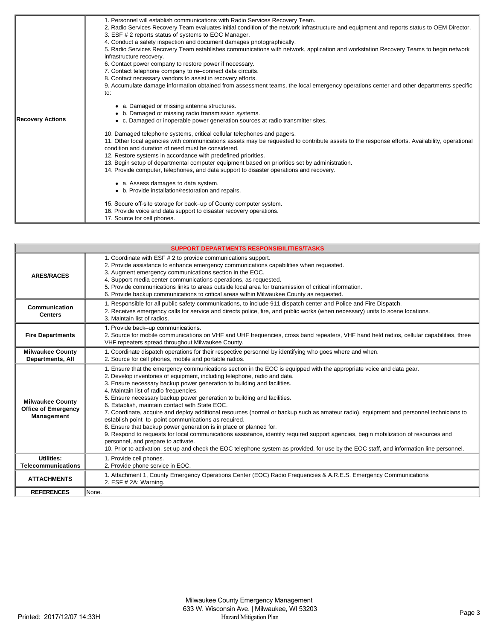| <b>Recovery Actions</b> | 1. Personnel will establish communications with Radio Services Recovery Team.<br>2. Radio Services Recovery Team evaluates initial condition of the network infrastructure and equipment and reports status to OEM Director.<br>3. ESF # 2 reports status of systems to EOC Manager.<br>4. Conduct a safety inspection and document damages photographically.<br>5. Radio Services Recovery Team establishes communications with network, application and workstation Recovery Teams to begin network<br>infrastructure recovery.<br>6. Contact power company to restore power if necessary.<br>7. Contact telephone company to re-connect data circuits.<br>8. Contact necessary vendors to assist in recovery efforts.<br>9. Accumulate damage information obtained from assessment teams, the local emergency operations center and other departments specific<br>to:<br>• a. Damaged or missing antenna structures.<br>• b. Damaged or missing radio transmission systems.<br>• c. Damaged or inoperable power generation sources at radio transmitter sites. |
|-------------------------|-------------------------------------------------------------------------------------------------------------------------------------------------------------------------------------------------------------------------------------------------------------------------------------------------------------------------------------------------------------------------------------------------------------------------------------------------------------------------------------------------------------------------------------------------------------------------------------------------------------------------------------------------------------------------------------------------------------------------------------------------------------------------------------------------------------------------------------------------------------------------------------------------------------------------------------------------------------------------------------------------------------------------------------------------------------------|
|                         | 10. Damaged telephone systems, critical cellular telephones and pagers.<br>11. Other local agencies with communications assets may be requested to contribute assets to the response efforts. Availability, operational<br>condition and duration of need must be considered.<br>12. Restore systems in accordance with predefined priorities.<br>13. Begin setup of departmental computer equipment based on priorities set by administration.<br>14. Provide computer, telephones, and data support to disaster operations and recovery.                                                                                                                                                                                                                                                                                                                                                                                                                                                                                                                        |
|                         | • a. Assess damages to data system.<br>• b. Provide installation/restoration and repairs.<br>15. Secure off-site storage for back–up of County computer system.<br>16. Provide voice and data support to disaster recovery operations.                                                                                                                                                                                                                                                                                                                                                                                                                                                                                                                                                                                                                                                                                                                                                                                                                            |
|                         | 17. Source for cell phones.                                                                                                                                                                                                                                                                                                                                                                                                                                                                                                                                                                                                                                                                                                                                                                                                                                                                                                                                                                                                                                       |

|                                                                     | <b>SUPPORT DEPARTMENTS RESPONSIBILITIES/TASKS</b>                                                                                                                                                                                                                                                                                                                                                                                                                                                                                                                                                                                                                                                                                                                                                                                                                                                                                                                                                                                                       |  |  |
|---------------------------------------------------------------------|---------------------------------------------------------------------------------------------------------------------------------------------------------------------------------------------------------------------------------------------------------------------------------------------------------------------------------------------------------------------------------------------------------------------------------------------------------------------------------------------------------------------------------------------------------------------------------------------------------------------------------------------------------------------------------------------------------------------------------------------------------------------------------------------------------------------------------------------------------------------------------------------------------------------------------------------------------------------------------------------------------------------------------------------------------|--|--|
| <b>ARES/RACES</b>                                                   | 1. Coordinate with ESF # 2 to provide communications support.<br>2. Provide assistance to enhance emergency communications capabilities when requested.<br>3. Augment emergency communications section in the EOC.<br>4. Support media center communications operations, as requested.<br>5. Provide communications links to areas outside local area for transmission of critical information.<br>6. Provide backup communications to critical areas within Milwaukee County as requested.                                                                                                                                                                                                                                                                                                                                                                                                                                                                                                                                                             |  |  |
| Communication<br><b>Centers</b>                                     | 1. Responsible for all public safety communications, to include 911 dispatch center and Police and Fire Dispatch.<br>2. Receives emergency calls for service and directs police, fire, and public works (when necessary) units to scene locations.<br>3. Maintain list of radios.                                                                                                                                                                                                                                                                                                                                                                                                                                                                                                                                                                                                                                                                                                                                                                       |  |  |
| <b>Fire Departments</b>                                             | 1. Provide back-up communications.<br>2. Source for mobile communications on VHF and UHF frequencies, cross band repeaters, VHF hand held radios, cellular capabilities, three<br>VHF repeaters spread throughout Milwaukee County.                                                                                                                                                                                                                                                                                                                                                                                                                                                                                                                                                                                                                                                                                                                                                                                                                     |  |  |
| <b>Milwaukee County</b><br><b>Departments, All</b>                  | 1. Coordinate dispatch operations for their respective personnel by identifying who goes where and when.<br>2. Source for cell phones, mobile and portable radios.                                                                                                                                                                                                                                                                                                                                                                                                                                                                                                                                                                                                                                                                                                                                                                                                                                                                                      |  |  |
| <b>Milwaukee County</b><br><b>Office of Emergency</b><br>Management | 1. Ensure that the emergency communications section in the EOC is equipped with the appropriate voice and data gear.<br>2. Develop inventories of equipment, including telephone, radio and data.<br>3. Ensure necessary backup power generation to building and facilities.<br>4. Maintain list of radio frequencies.<br>5. Ensure necessary backup power generation to building and facilities.<br>6. Establish, maintain contact with State EOC.<br>7. Coordinate, acquire and deploy additional resources (normal or backup such as amateur radio), equipment and personnel technicians to<br>establish point-to-point communications as required.<br>8. Ensure that backup power generation is in place or planned for.<br>9. Respond to requests for local communications assistance, identify required support agencies, begin mobilization of resources and<br>personnel, and prepare to activate.<br>10. Prior to activation, set up and check the EOC telephone system as provided, for use by the EOC staff, and information line personnel. |  |  |
| Utilities:<br><b>Telecommunications</b>                             | 1. Provide cell phones.<br>2. Provide phone service in EOC.                                                                                                                                                                                                                                                                                                                                                                                                                                                                                                                                                                                                                                                                                                                                                                                                                                                                                                                                                                                             |  |  |
| <b>ATTACHMENTS</b>                                                  | 1. Attachment 1, County Emergency Operations Center (EOC) Radio Frequencies & A.R.E.S. Emergency Communications<br>2. ESF # 2A: Warning.                                                                                                                                                                                                                                                                                                                                                                                                                                                                                                                                                                                                                                                                                                                                                                                                                                                                                                                |  |  |
| <b>REFERENCES</b>                                                   | None.                                                                                                                                                                                                                                                                                                                                                                                                                                                                                                                                                                                                                                                                                                                                                                                                                                                                                                                                                                                                                                                   |  |  |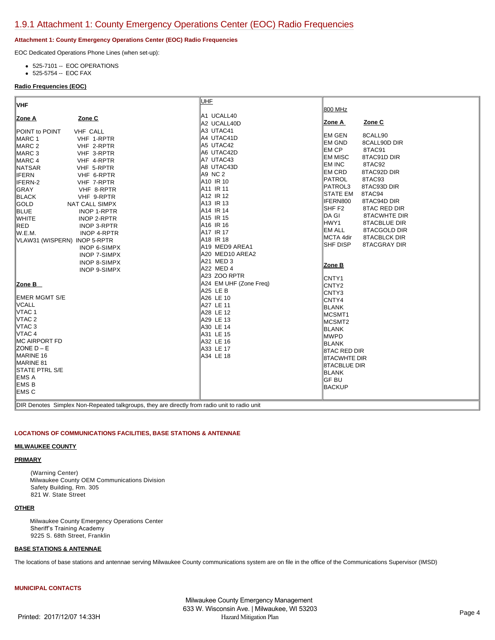## **Attachment 1: County Emergency Operations Center (EOC) Radio Frequencies**

EOC Dedicated Operations Phone Lines (when set-up):

- 525-7101 -- EOC OPERATIONS
- 525-5754 -- EOC FAX

## **Radio Frequencies (EOC)**

| VHF                                                                                          | <b>UHF</b>             |                                   |
|----------------------------------------------------------------------------------------------|------------------------|-----------------------------------|
|                                                                                              |                        | 800 MHz                           |
| Zone C<br>Zone A                                                                             | A1 UCALL40             |                                   |
|                                                                                              | A2 UCALL40D            | Zone C<br>Zone A                  |
| POINT to POINT<br><b>VHF CALL</b>                                                            | A3 UTAC41              |                                   |
| MARC 1<br>VHF 1-RPTR                                                                         | A4 UTAC41D             | EM GEN<br>8CALL90                 |
| MARC 2<br>VHF 2-RPTR                                                                         | A5 UTAC42              | <b>EM GND</b><br>8CALL90D DIR     |
| MARC 3<br>VHF 3-RPTR                                                                         | A6 UTAC42D             | EM CP<br>8TAC91                   |
| MARC 4<br>VHF 4-RPTR                                                                         | A7 UTAC43              | <b>EM MISC</b><br>8TAC91D DIR     |
| NATSAR<br>VHF 5-RPTR                                                                         | A8 UTAC43D             | EM INC<br>8TAC92                  |
| <b>IFERN</b><br>VHF 6-RPTR                                                                   | A9 NC 2                | EM CRD<br>8TAC92D DIR             |
| IFERN-2<br>VHF 7-RPTR                                                                        | A10 IR 10              | PATROL<br>8TAC93                  |
| GRAY<br>VHF 8-RPTR                                                                           | A11 IR 11              | <b>PATROL3</b><br>8TAC93D DIR     |
| BLACK<br>VHF 9-RPTR                                                                          | A12 IR 12              | <b>STATE EM</b><br>8TAC94         |
| GOLD<br><b>NAT CALL SIMPX</b>                                                                | A13 IR 13              | IFERN800<br>8TAC94D DIR           |
| <b>BLUE</b><br>INOP 1-RPTR                                                                   | A14 IR 14              | SHF <sub>F2</sub><br>8TAC RED DIR |
| <b>WHITE</b><br>INOP 2-RPTR                                                                  | A15 IR 15              | DA GI<br><b>8TACWHTE DIR</b>      |
| RED<br>INOP 3-RPTR                                                                           | A16 IR 16              | HWY1<br>8TACBLUE DIR              |
| lw.e.m.<br><b>INOP 4-RPTR</b>                                                                | A17 IR 17              | <b>EM ALL</b><br>8TACGOLD DIR     |
| VLAW31 (WISPERN) INOP 5-RPTR                                                                 | A <sub>18</sub> IR 18  | MCTA 4dir<br><b>8TACBLCK DIR</b>  |
| <b>INOP 6-SIMPX</b>                                                                          | A19 MED9 AREA1         | SHF DISP<br>8TACGRAY DIR          |
| <b>INOP 7-SIMPX</b>                                                                          | A20 MED10 AREA2        |                                   |
| <b>INOP 8-SIMPX</b>                                                                          | A21 MED 3              | Zone B                            |
| <b>INOP 9-SIMPX</b>                                                                          | A22 MED 4              |                                   |
|                                                                                              | A23 ZOO RPTR           | CNTY1                             |
| ∣Zone B                                                                                      | A24 EM UHF (Zone Freq) | CNTY2                             |
|                                                                                              | A25 LE B               | CNTY3                             |
| <b>EMER MGMT S/E</b>                                                                         | A26 LE 10              | CNTY4                             |
| <b>VCALL</b>                                                                                 | A27 LE 11              | <b>BLANK</b>                      |
| VTAC 1                                                                                       | A28 LE 12              | MCSMT1                            |
| VTAC 2                                                                                       | A29 LE 13              | MCSMT2                            |
| VTAC 3                                                                                       | A30 LE 14              | <b>BLANK</b>                      |
| VTAC 4                                                                                       | A31 LE 15              | <b>MWPD</b>                       |
| <b>IMC AIRPORT FD</b>                                                                        | A32 LE 16              | <b>BLANK</b>                      |
| $ZONE D - E$                                                                                 | A33 LE 17              | <b>8TAC RED DIR</b>               |
| MARINE 16                                                                                    | A34 LE 18              | <b>8TACWHTE DIR</b>               |
| MARINE 81                                                                                    |                        | <b>8TACBLUE DIR</b>               |
| <b>ISTATE PTRL S/E</b>                                                                       |                        | <b>BLANK</b>                      |
| IEMS A                                                                                       |                        | <b>GF BU</b>                      |
| EMS <sub>B</sub>                                                                             |                        | <b>BACKUP</b>                     |
| IEMS C                                                                                       |                        |                                   |
|                                                                                              |                        |                                   |
| DIR Denotes Simplex Non-Repeated talkgroups, they are directly from radio unit to radio unit |                        |                                   |

## **LOCATIONS OF COMMUNICATIONS FACILITIES, BASE STATIONS & ANTENNAE**

## **MILWAUKEE COUNTY**

## **PRIMARY**

 (Warning Center) Milwaukee County OEM Communications Division Safety Building, Rm. 305 821 W. State Street

# **OTHER**

 Milwaukee County Emergency Operations Center Sheriff's Training Academy 9225 S. 68th Street, Franklin

# **BASE STATIONS & ANTENNAE**

The locations of base stations and antennae serving Milwaukee County communications system are on file in the office of the Communications Supervisor (IMSD)

# **MUNICIPAL CONTACTS**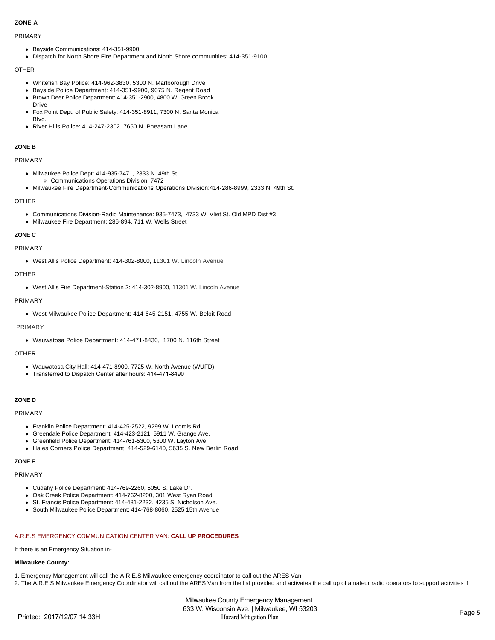## **ZONE A**

#### PRIMARY

- Bayside Communications: 414-351-9900
- Dispatch for North Shore Fire Department and North Shore communities: 414-351-9100

## OTHER

- Whitefish Bay Police: 414-962-3830, 5300 N. Marlborough Drive
- Bayside Police Department: 414-351-9900, 9075 N. Regent Road
- Brown Deer Police Department: 414-351-2900, 4800 W. Green Brook Drive
- Fox Point Dept. of Public Safety: 414-351-8911, 7300 N. Santa Monica Blvd.
- River Hills Police: 414-247-2302, 7650 N. Pheasant Lane

## **ZONE B**

## PRIMARY

- Milwaukee Police Dept: 414-935-7471, 2333 N. 49th St. Communications Operations Division: 7472
- Milwaukee Fire Department-Communications Operations Division:414-286-8999, 2333 N. 49th St.

## OTHER

- Communications Division-Radio Maintenance: 935-7473, 4733 W. Vliet St. Old MPD Dist #3
- Milwaukee Fire Department: 286-894, 711 W. Wells Street

## **ZONE C**

## PRIMARY

West Allis Police Department: 414-302-8000, 11301 W. Lincoln Avenue

## **OTHER**

West Allis Fire Department-Station 2: 414-302-8900, 11301 W. Lincoln Avenue

## PRIMARY

West Milwaukee Police Department: 414-645-2151, 4755 W. Beloit Road

#### PRIMARY

Wauwatosa Police Department: 414-471-8430, 1700 N. 116th Street

## OTHER

- Wauwatosa City Hall: 414-471-8900, 7725 W. North Avenue (WUFD)
- Transferred to Dispatch Center after hours: 414-471-8490

## **ZONE D**

#### PRIMARY

- Franklin Police Department: 414-425-2522, 9299 W. Loomis Rd.
- Greendale Police Department: 414-423-2121, 5911 W. Grange Ave.
- Greenfield Police Department: 414-761-5300, 5300 W. Layton Ave.
- Hales Corners Police Department: 414-529-6140, 5635 S. New Berlin Road

## **ZONE E**

#### PRIMARY

- Cudahy Police Department: 414-769-2260, 5050 S. Lake Dr.
- Oak Creek Police Department: 414-762-8200, 301 West Ryan Road
- St. Francis Police Department: 414-481-2232, 4235 S. Nicholson Ave.
- South Milwaukee Police Department: 414-768-8060, 2525 15th Avenue

## A.R.E.S EMERGENCY COMMUNICATION CENTER VAN: **CALL UP PROCEDURES**

If there is an Emergency Situation in-

#### **Milwaukee County:**

1. Emergency Management will call the A.R.E.S Milwaukee emergency coordinator to call out the ARES Van

2. The A.R.E.S Milwaukee Emergency Coordinator will call out the ARES Van from the list provided and activates the call up of amateur radio operators to support activities if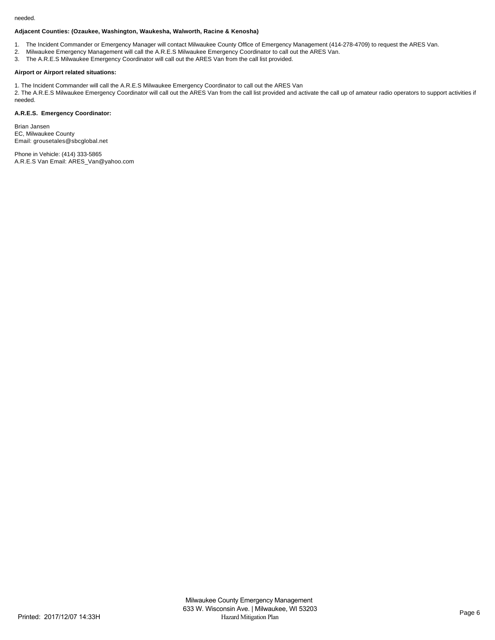#### needed.

## **Adjacent Counties: (Ozaukee, Washington, Waukesha, Walworth, Racine & Kenosha)**

- 1. The Incident Commander or Emergency Manager will contact Milwaukee County Office of Emergency Management (414-278-4709) to request the ARES Van.
- 2. Milwaukee Emergency Management will call the A.R.E.S Milwaukee Emergency Coordinator to call out the ARES Van.
- 3. The A.R.E.S Milwaukee Emergency Coordinator will call out the ARES Van from the call list provided.

## **Airport or Airport related situations:**

1. The Incident Commander will call the A.R.E.S Milwaukee Emergency Coordinator to call out the ARES Van

2. The A.R.E.S Milwaukee Emergency Coordinator will call out the ARES Van from the call list provided and activate the call up of amateur radio operators to support activities if needed.

## **A.R.E.S. Emergency Coordinator:**

Brian Jansen EC, Milwaukee County Email: grousetales@sbcglobal.net

Phone in Vehicle: (414) 333-5865 A.R.E.S Van Email: ARES\_Van@yahoo.com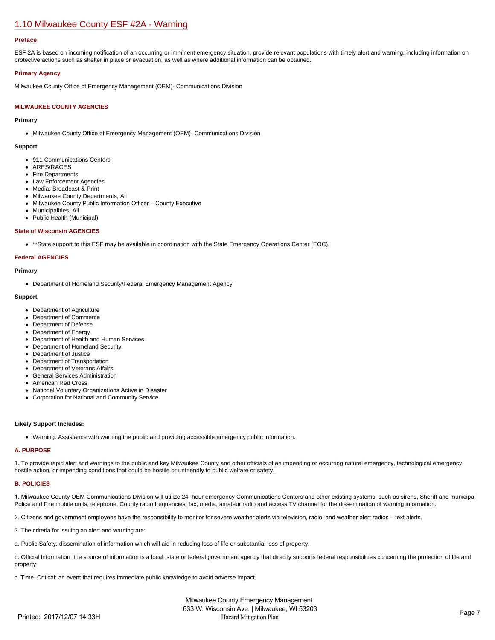# [1.10 Milwaukee County ESF #2A - Warning](https://milwaukeecounty.isc-cemp.com/Cemp/Details?id=5805902)

#### **Preface**

ESF 2A is based on incoming notification of an occurring or imminent emergency situation, provide relevant populations with timely alert and warning, including information on protective actions such as shelter in place or evacuation, as well as where additional information can be obtained.

#### **Primary Agency**

Milwaukee County Office of Emergency Management (OEM)- Communications Division

### **MILWAUKEE COUNTY AGENCIES**

#### **Primary**

Milwaukee County Office of Emergency Management (OEM)- Communications Division

#### **Support**

- 911 Communications Centers
- ARES/RACES
- Fire Departments
- Law Enforcement Agencies • Media: Broadcast & Print
- Milwaukee County Departments, All
- Milwaukee County Public Information Officer County Executive
- Municipalities, All
- Public Health (Municipal)

#### **State of Wisconsin AGENCIES**

\*\*State support to this ESF may be available in coordination with the State Emergency Operations Center (EOC).

#### **Federal AGENCIES**

#### **Primary**

Department of Homeland Security/Federal Emergency Management Agency

#### **Support**

- Department of Agriculture
- Department of Commerce
- Department of Defense
- Department of Energy
- Department of Health and Human Services
- Department of Homeland Security
- Department of Justice
- Department of Transportation
- Department of Veterans Affairs
- General Services Administration
- **American Red Cross**
- National Voluntary Organizations Active in Disaster
- Corporation for National and Community Service

#### **Likely Support Includes:**

Warning: Assistance with warning the public and providing accessible emergency public information.

## **A. PURPOSE**

1. To provide rapid alert and warnings to the public and key Milwaukee County and other officials of an impending or occurring natural emergency, technological emergency, hostile action, or impending conditions that could be hostile or unfriendly to public welfare or safety.

#### **B. POLICIES**

1. Milwaukee County OEM Communications Division will utilize 24–hour emergency Communications Centers and other existing systems, such as sirens, Sheriff and municipal Police and Fire mobile units, telephone, County radio frequencies, fax, media, amateur radio and access TV channel for the dissemination of warning information.

2. Citizens and government employees have the responsibility to monitor for severe weather alerts via television, radio, and weather alert radios – text alerts.

- 3. The criteria for issuing an alert and warning are:
- a. Public Safety: dissemination of information which will aid in reducing loss of life or substantial loss of property.

b. Official Information: the source of information is a local, state or federal government agency that directly supports federal responsibilities concerning the protection of life and property.

c. Time–Critical: an event that requires immediate public knowledge to avoid adverse impact.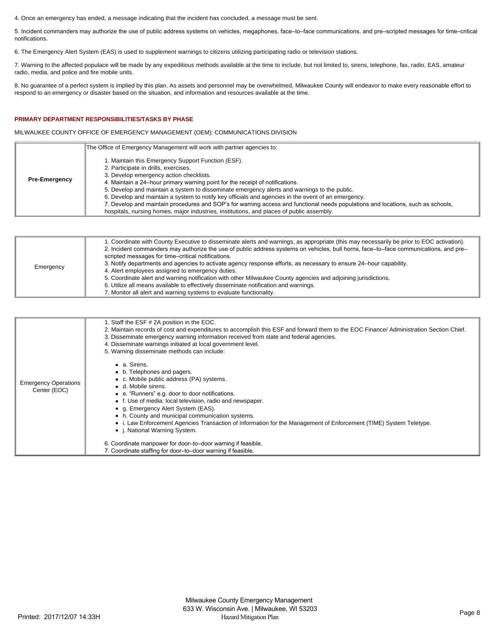4. Once an emergency has ended, a message indicating that the incident has concluded, a message must be sent.

5. Incident commanders may authorize the use of public address systems on vehicles, megaphones, face–to–face communications, and pre–scripted messages for time–critical notifications.

6. The Emergency Alert System (EAS) is used to supplement warnings to citizens utilizing participating radio or television stations.

7. Warning to the affected populace will be made by any expeditious methods available at the time to include, but not limited to, sirens, telephone, fax, radio, EAS, amateur radio, media, and police and fire mobile units.

8. No guarantee of a perfect system is implied by this plan. As assets and personnel may be overwhelmed, Milwaukee County will endeavor to make every reasonable effort to respond to an emergency or disaster based on the situation, and information and resources available at the time.

## **PRIMARY DEPARTMENT RESPONSIBILITIES/TASKS BY PHASE**

MILWAUKEE COUNTY OFFICE OF EMERGENCY MANAGEMENT (OEM): COMMUNICATIONS DIVISION

|                      | The Office of Emergency Management will work with partner agencies to:                                                                                                                                                                                                                                                                                                                                                                                                                                                                                                                                                                                        |
|----------------------|---------------------------------------------------------------------------------------------------------------------------------------------------------------------------------------------------------------------------------------------------------------------------------------------------------------------------------------------------------------------------------------------------------------------------------------------------------------------------------------------------------------------------------------------------------------------------------------------------------------------------------------------------------------|
| <b>Pre-Emergency</b> | I. Maintain this Emergency Support Function (ESF).<br>2. Participate in drills, exercises.<br>3. Develop emergency action checklists.<br>4. Maintain a 24-hour primary warning point for the receipt of notifications.<br>5. Develop and maintain a system to disseminate emergency alerts and warnings to the public.<br>6. Develop and maintain a system to notify key officials and agencies in the event of an emergency.<br>7. Develop and maintain procedures and SOP's for warning access and functional needs populations and locations, such as schools,<br>hospitals, nursing homes, major industries, institutions, and places of public assembly. |

| Emergency | 1. Coordinate with County Executive to disseminate alerts and warnings, as appropriate (this may necessarily be prior to EOC activation).<br>2. Incident commanders may authorize the use of public address systems on vehicles, bull horns, face-to-face communications, and pre-<br>scripted messages for time–critical notifications.<br>3. Notify departments and agencies to activate agency response efforts, as necessary to ensure 24-hour capability.<br>4. Alert employees assigned to emergency duties.<br>5. Coordinate alert and warning notification with other Milwaukee County agencies and adjoining jurisdictions.<br>6. Utilize all means available to effectively disseminate notification and warnings.<br>7. Monitor all alert and warning systems to evaluate functionality. |
|-----------|-----------------------------------------------------------------------------------------------------------------------------------------------------------------------------------------------------------------------------------------------------------------------------------------------------------------------------------------------------------------------------------------------------------------------------------------------------------------------------------------------------------------------------------------------------------------------------------------------------------------------------------------------------------------------------------------------------------------------------------------------------------------------------------------------------|
|-----------|-----------------------------------------------------------------------------------------------------------------------------------------------------------------------------------------------------------------------------------------------------------------------------------------------------------------------------------------------------------------------------------------------------------------------------------------------------------------------------------------------------------------------------------------------------------------------------------------------------------------------------------------------------------------------------------------------------------------------------------------------------------------------------------------------------|

|                                             | 1. Staff the ESF # 2A position in the EOC.<br>2. Maintain records of cost and expenditures to accomplish this ESF and forward them to the EOC Finance/Administration Section Chief.<br>3. Disseminate emergency warning information received from state and federal agencies.<br>4. Disseminate warnings initiated at local government level.<br>5. Warning disseminate methods can include:                                                                                                                                                           |
|---------------------------------------------|--------------------------------------------------------------------------------------------------------------------------------------------------------------------------------------------------------------------------------------------------------------------------------------------------------------------------------------------------------------------------------------------------------------------------------------------------------------------------------------------------------------------------------------------------------|
| <b>Emergency Operations</b><br>Center (EOC) | • a. Sirens.<br>• b. Telephones and pagers.<br>• c. Mobile public address (PA) systems.<br>• d. Mobile sirens.<br>• e. "Runners" e.g. door to door notifications.<br>• f. Use of media: local television, radio and newspaper.<br>• q. Emergency Alert System (EAS).<br>• h. County and municipal communication systems.<br>• i. Law Enforcement Agencies Transaction of Information for the Management of Enforcement (TIME) System Teletype.<br>• <i>i.</i> National Warning System.<br>6. Coordinate manpower for door-to-door warning if feasible. |
|                                             | 7. Coordinate staffing for door-to-door warning if feasible.                                                                                                                                                                                                                                                                                                                                                                                                                                                                                           |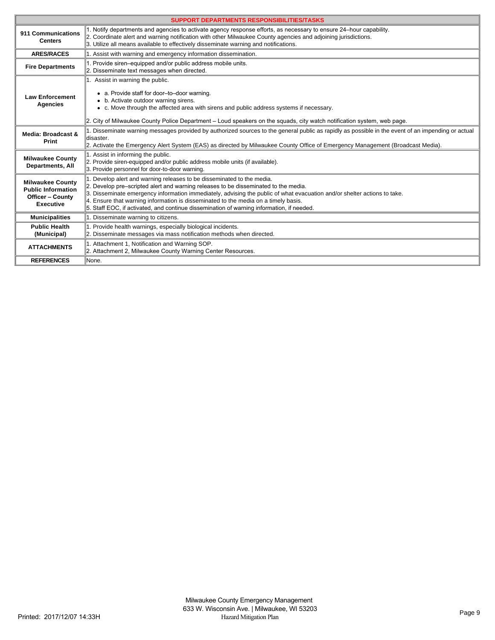| <b>SUPPORT DEPARTMENTS RESPONSIBILITIES/TASKS</b>                                                   |                                                                                                                                                                                                                                                                                                                                                                                                                                                                              |  |  |
|-----------------------------------------------------------------------------------------------------|------------------------------------------------------------------------------------------------------------------------------------------------------------------------------------------------------------------------------------------------------------------------------------------------------------------------------------------------------------------------------------------------------------------------------------------------------------------------------|--|--|
| 911 Communications<br><b>Centers</b>                                                                | 1. Notify departments and agencies to activate agency response efforts, as necessary to ensure 24-hour capability.<br>2. Coordinate alert and warning notification with other Milwaukee County agencies and adjoining jurisdictions.<br>3. Utilize all means available to effectively disseminate warning and notifications.                                                                                                                                                 |  |  |
| <b>ARES/RACES</b>                                                                                   | 1. Assist with warning and emergency information dissemination.                                                                                                                                                                                                                                                                                                                                                                                                              |  |  |
| <b>Fire Departments</b>                                                                             | 1. Provide siren–equipped and/or public address mobile units.<br>2. Disseminate text messages when directed.                                                                                                                                                                                                                                                                                                                                                                 |  |  |
| <b>Law Enforcement</b><br><b>Agencies</b>                                                           | 1. Assist in warning the public.<br>• a. Provide staff for door-to-door warning.<br>• b. Activate outdoor warning sirens.<br>• c. Move through the affected area with sirens and public address systems if necessary.<br>2. City of Milwaukee County Police Department – Loud speakers on the squads, city watch notification system, web page.                                                                                                                              |  |  |
| Media: Broadcast &<br>Print                                                                         | 1. Disseminate warning messages provided by authorized sources to the general public as rapidly as possible in the event of an impending or actual<br>ldisaster.<br>2. Activate the Emergency Alert System (EAS) as directed by Milwaukee County Office of Emergency Management (Broadcast Media).                                                                                                                                                                           |  |  |
| <b>Milwaukee County</b><br><b>Departments, All</b>                                                  | 1. Assist in informing the public.<br>2. Provide siren-equipped and/or public address mobile units (if available).<br>3. Provide personnel for door-to-door warning.                                                                                                                                                                                                                                                                                                         |  |  |
| <b>Milwaukee County</b><br><b>Public Information</b><br><b>Officer - County</b><br><b>Executive</b> | 1. Develop alert and warning releases to be disseminated to the media.<br>2. Develop pre-scripted alert and warning releases to be disseminated to the media.<br>3. Disseminate emergency information immediately, advising the public of what evacuation and/or shelter actions to take.<br>4. Ensure that warning information is disseminated to the media on a timely basis.<br>5. Staff EOC, if activated, and continue dissemination of warning information, if needed. |  |  |
| <b>Municipalities</b>                                                                               | 1. Disseminate warning to citizens.                                                                                                                                                                                                                                                                                                                                                                                                                                          |  |  |
| <b>Public Health</b><br>(Municipal)                                                                 | 1. Provide health warnings, especially biological incidents.<br>2. Disseminate messages via mass notification methods when directed.                                                                                                                                                                                                                                                                                                                                         |  |  |
| <b>ATTACHMENTS</b>                                                                                  | 1. Attachment 1, Notification and Warning SOP.<br>2. Attachment 2, Milwaukee County Warning Center Resources.                                                                                                                                                                                                                                                                                                                                                                |  |  |
| <b>REFERENCES</b>                                                                                   | None.                                                                                                                                                                                                                                                                                                                                                                                                                                                                        |  |  |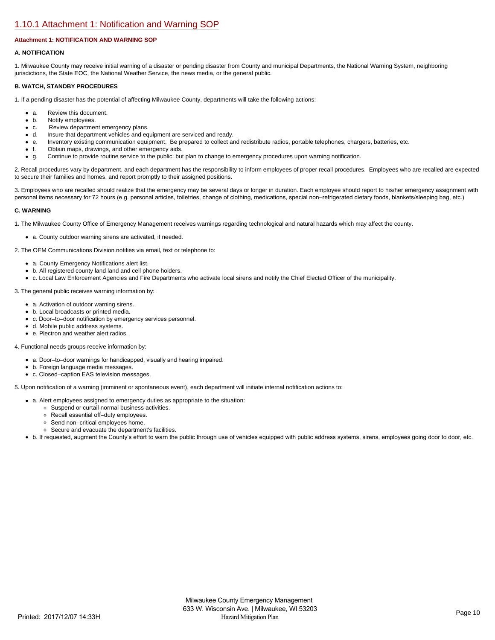# [1.10.1 Attachment 1: Notification and Warning SOP](https://milwaukeecounty.isc-cemp.com/Cemp/Details?id=5809883)

## **Attachment 1: NOTIFICATION AND WARNING SOP**

#### **A. NOTIFICATION**

1. Milwaukee County may receive initial warning of a disaster or pending disaster from County and municipal Departments, the National Warning System, neighboring jurisdictions, the State EOC, the National Weather Service, the news media, or the general public.

#### **B. WATCH, STANDBY PROCEDURES**

1. If a pending disaster has the potential of affecting Milwaukee County, departments will take the following actions:

- a. Review this document.
- b. Notify employees.
- c. Review department emergency plans.<br>• d. Insure that department vehicles and eq
- Insure that department vehicles and equipment are serviced and ready.
- e. Inventory existing communication equipment. Be prepared to collect and redistribute radios, portable telephones, chargers, batteries, etc.
- f. Obtain maps, drawings, and other emergency aids.
- g. Continue to provide routine service to the public, but plan to change to emergency procedures upon warning notification.

2. Recall procedures vary by department, and each department has the responsibility to inform employees of proper recall procedures. Employees who are recalled are expected to secure their families and homes, and report promptly to their assigned positions.

3. Employees who are recalled should realize that the emergency may be several days or longer in duration. Each employee should report to his/her emergency assignment with personal items necessary for 72 hours (e.g. personal articles, toiletries, change of clothing, medications, special non–refrigerated dietary foods, blankets/sleeping bag, etc.)

#### **C. WARNING**

1. The Milwaukee County Office of Emergency Management receives warnings regarding technological and natural hazards which may affect the county.

a. County outdoor warning sirens are activated, if needed.

2. The OEM Communications Division notifies via email, text or telephone to:

- a. County Emergency Notifications alert list.
- b. All registered county land land and cell phone holders.
- c. Local Law Enforcement Agencies and Fire Departments who activate local sirens and notify the Chief Elected Officer of the municipality.

3. The general public receives warning information by:

- a. Activation of outdoor warning sirens.
- b. Local broadcasts or printed media.
- c. Door–to–door notification by emergency services personnel.
- d. Mobile public address systems.
- e. Plectron and weather alert radios.

#### 4. Functional needs groups receive information by:

- a. Door–to–door warnings for handicapped, visually and hearing impaired.
- b. Foreign language media messages.
- c. Closed–caption EAS television messages.

5. Upon notification of a warning (imminent or spontaneous event), each department will initiate internal notification actions to:

- a. Alert employees assigned to emergency duties as appropriate to the situation:
	- Suspend or curtail normal business activities.
	- Recall essential off–duty employees.
	- Send non–critical employees home.
	- Secure and evacuate the department's facilities.
- b. If requested, augment the County's effort to warn the public through use of vehicles equipped with public address systems, sirens, employees going door to door, etc.